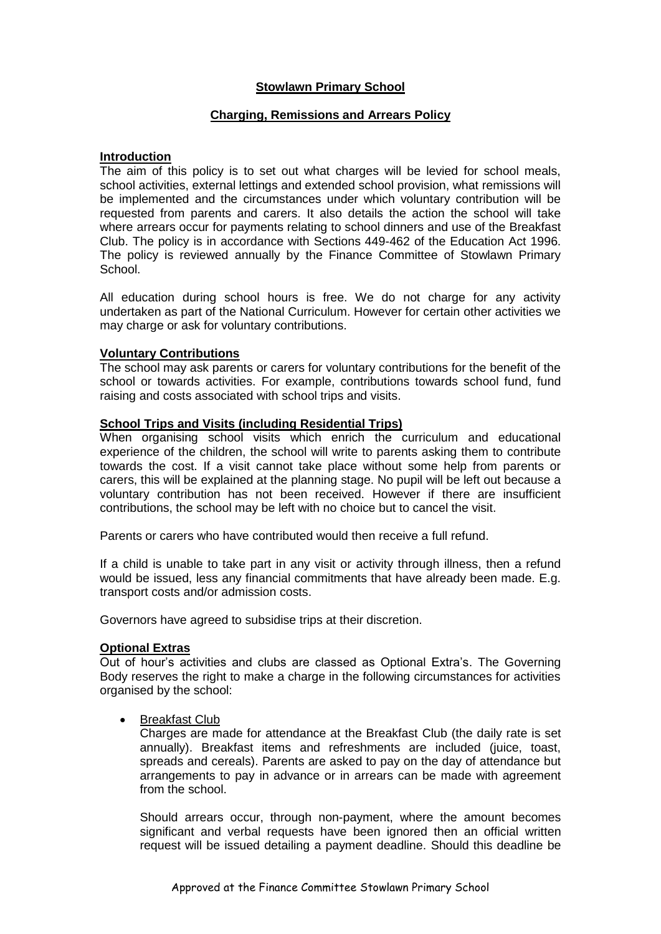# **Stowlawn Primary School**

# **Charging, Remissions and Arrears Policy**

#### **Introduction**

The aim of this policy is to set out what charges will be levied for school meals, school activities, external lettings and extended school provision, what remissions will be implemented and the circumstances under which voluntary contribution will be requested from parents and carers. It also details the action the school will take where arrears occur for payments relating to school dinners and use of the Breakfast Club. The policy is in accordance with Sections 449-462 of the Education Act 1996. The policy is reviewed annually by the Finance Committee of Stowlawn Primary School.

All education during school hours is free. We do not charge for any activity undertaken as part of the National Curriculum. However for certain other activities we may charge or ask for voluntary contributions.

## **Voluntary Contributions**

The school may ask parents or carers for voluntary contributions for the benefit of the school or towards activities. For example, contributions towards school fund, fund raising and costs associated with school trips and visits.

## **School Trips and Visits (including Residential Trips)**

When organising school visits which enrich the curriculum and educational experience of the children, the school will write to parents asking them to contribute towards the cost. If a visit cannot take place without some help from parents or carers, this will be explained at the planning stage. No pupil will be left out because a voluntary contribution has not been received. However if there are insufficient contributions, the school may be left with no choice but to cancel the visit.

Parents or carers who have contributed would then receive a full refund.

If a child is unable to take part in any visit or activity through illness, then a refund would be issued, less any financial commitments that have already been made. E.g. transport costs and/or admission costs.

Governors have agreed to subsidise trips at their discretion.

## **Optional Extras**

Out of hour's activities and clubs are classed as Optional Extra's. The Governing Body reserves the right to make a charge in the following circumstances for activities organised by the school:

Breakfast Club

Charges are made for attendance at the Breakfast Club (the daily rate is set annually). Breakfast items and refreshments are included (juice, toast, spreads and cereals). Parents are asked to pay on the day of attendance but arrangements to pay in advance or in arrears can be made with agreement from the school.

Should arrears occur, through non-payment, where the amount becomes significant and verbal requests have been ignored then an official written request will be issued detailing a payment deadline. Should this deadline be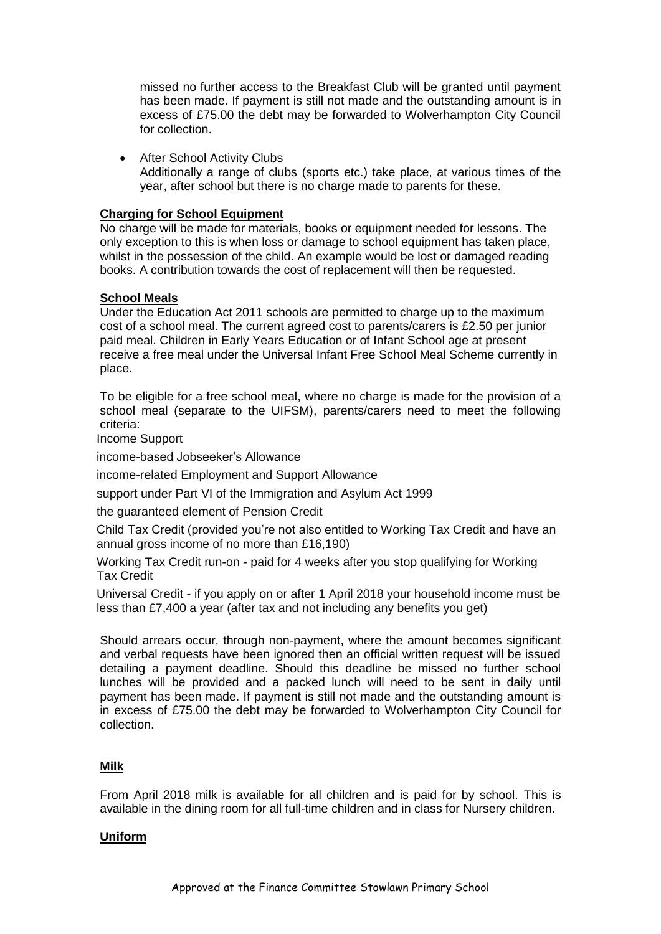missed no further access to the Breakfast Club will be granted until payment has been made. If payment is still not made and the outstanding amount is in excess of £75.00 the debt may be forwarded to Wolverhampton City Council for collection.

• After School Activity Clubs Additionally a range of clubs (sports etc.) take place, at various times of the year, after school but there is no charge made to parents for these.

# **Charging for School Equipment**

No charge will be made for materials, books or equipment needed for lessons. The only exception to this is when loss or damage to school equipment has taken place, whilst in the possession of the child. An example would be lost or damaged reading books. A contribution towards the cost of replacement will then be requested.

# **School Meals**

Under the Education Act 2011 schools are permitted to charge up to the maximum cost of a school meal. The current agreed cost to parents/carers is £2.50 per junior paid meal. Children in Early Years Education or of Infant School age at present receive a free meal under the Universal Infant Free School Meal Scheme currently in place.

To be eligible for a free school meal, where no charge is made for the provision of a school meal (separate to the UIFSM), parents/carers need to meet the following criteria:

Income Support

income-based Jobseeker's Allowance

income-related Employment and Support Allowance

support under Part VI of the Immigration and Asylum Act 1999

the guaranteed element of Pension Credit

Child Tax Credit (provided you're not also entitled to Working Tax Credit and have an annual gross income of no more than £16,190)

Working Tax Credit run-on - paid for 4 weeks after you stop qualifying for Working Tax Credit

Universal Credit - if you apply on or after 1 April 2018 your household income must be less than £7,400 a year (after tax and not including any benefits you get)

Should arrears occur, through non-payment, where the amount becomes significant and verbal requests have been ignored then an official written request will be issued detailing a payment deadline. Should this deadline be missed no further school lunches will be provided and a packed lunch will need to be sent in daily until payment has been made. If payment is still not made and the outstanding amount is in excess of £75.00 the debt may be forwarded to Wolverhampton City Council for collection.

# **Milk**

From April 2018 milk is available for all children and is paid for by school. This is available in the dining room for all full-time children and in class for Nursery children.

#### **Uniform**